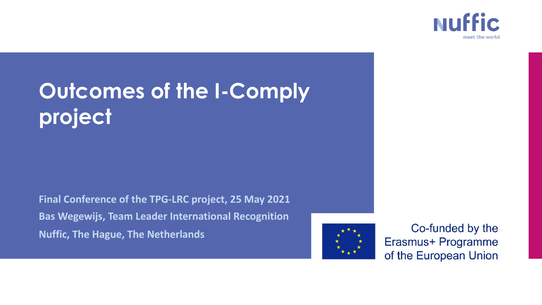

# **Outcomes of the I-Comply project**

**Final Conference of the TPG-LRC project, 25 May 2021 Bas Wegewijs, Team Leader International Recognition Nuffic, The Hague, The Netherlands**



Co-funded by the Erasmus+ Programme of the European Union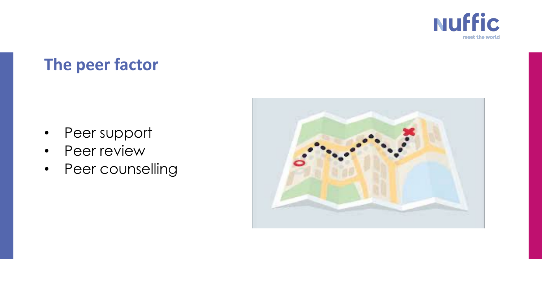

## **The peer factor**

- Peer support
- Peer review
- Peer counselling

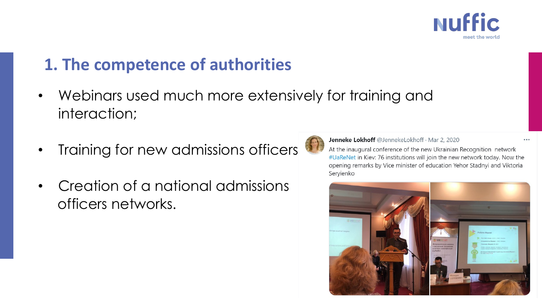

## **1. The competence of authorities**

- Webinars used much more extensively for training and interaction;
- Training for new admissions officers
- Creation of a national admissions officers networks.



Jenneke Lokhoff @JennekeLokhoff · Mar 2, 2020

At the inaugural conference of the new Ukrainian Recognition network #UaReNet in Kiev: 76 institutions will join the new network today. Now the opening remarks by Vice minister of education Yehor Stadnyi and Viktoria Servienko

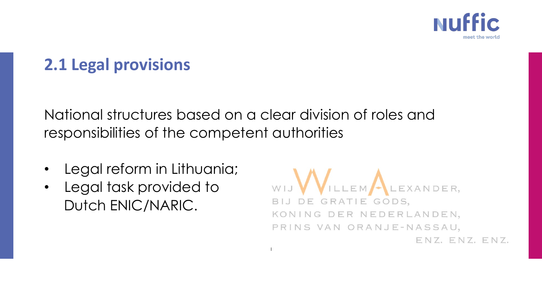

## **2.1 Legal provisions**

National structures based on a clear division of roles and responsibilities of the competent authorities

- Legal reform in Lithuania;
- Legal task provided to Dutch ENIC/NARIC.

ILLEM LEXANDER, BIJ DE GRATIE GODS, KONING DER NEDERLANDEN, PRINS VAN ORANJE-NASSAU, ENZ. ENZ. ENZ.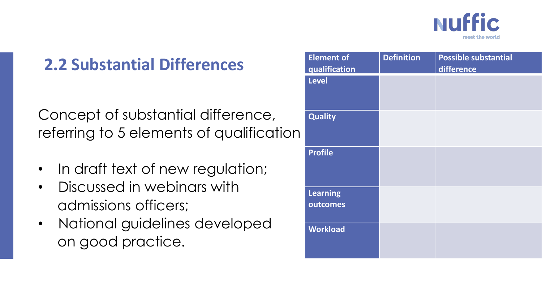

## **2.2 Substantial Differences**

Concept of substantial difference, referring to 5 elements of qualification

- In draft text of new regulation;
- Discussed in webinars with admissions officers;
- National guidelines developed on good practice.

| <b>Element of</b> | <b>Definition</b> | <b>Possible substantial</b> |
|-------------------|-------------------|-----------------------------|
| qualification     |                   | difference                  |
| <b>Level</b>      |                   |                             |
|                   |                   |                             |
| <b>Quality</b>    |                   |                             |
|                   |                   |                             |
| <b>Profile</b>    |                   |                             |
|                   |                   |                             |
|                   |                   |                             |
| <b>Learning</b>   |                   |                             |
| outcomes          |                   |                             |
|                   |                   |                             |
| <b>Workload</b>   |                   |                             |
|                   |                   |                             |
|                   |                   |                             |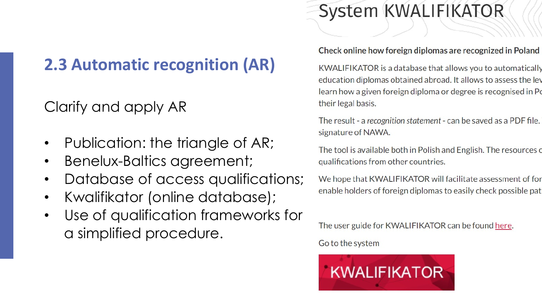## **2.3 Automatic recognition (AR)**

## Clarify and apply AR

- Publication: the triangle of AR;
- Benelux-Baltics agreement;
- Database of access qualifications;
- Kwalifikator (online database);
- Use of qualification frameworks for a simplified procedure.

## System KWALIFIKATOR

#### Check online how foreign diplomas are recognized in Poland

KWALIFIKATOR is a database that allows you to automatically education diplomas obtained abroad. It allows to assess the lev learn how a given foreign diploma or degree is recognised in Po their legal basis.

The result - a recognition statement - can be saved as a PDF file. signature of NAWA.

The tool is available both in Polish and English. The resources of qualifications from other countries.

We hope that KWALIFIKATOR will facilitate assessment of for enable holders of foreign diplomas to easily check possible pat

The user guide for KWALIFIKATOR can be found here.

Go to the system

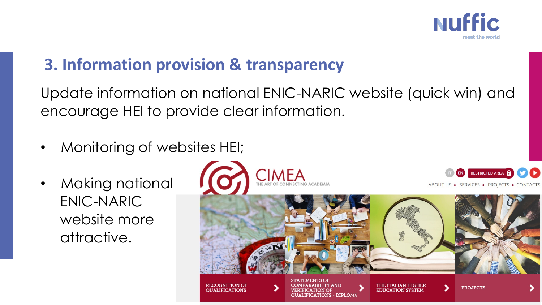

## **3. Information provision & transparency**

Update information on national ENIC-NARIC website (quick win) and encourage HEI to provide clear information.

- Monitoring of websites HEI;
- Making national ENIC-NARIC website more attractive.





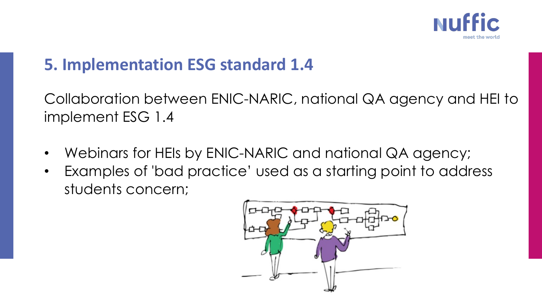

### **5. Implementation ESG standard 1.4**

Collaboration between ENIC-NARIC, national QA agency and HEI to implement ESG 1.4

- Webinars for HEIs by ENIC-NARIC and national QA agency;
- Examples of 'bad practice' used as a starting point to address students concern;

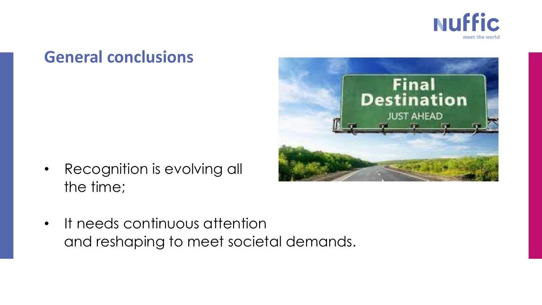

### **General conclusions**

• Recognition is evolving all the time;



• It needs continuous attention and reshaping to meet societal demands.